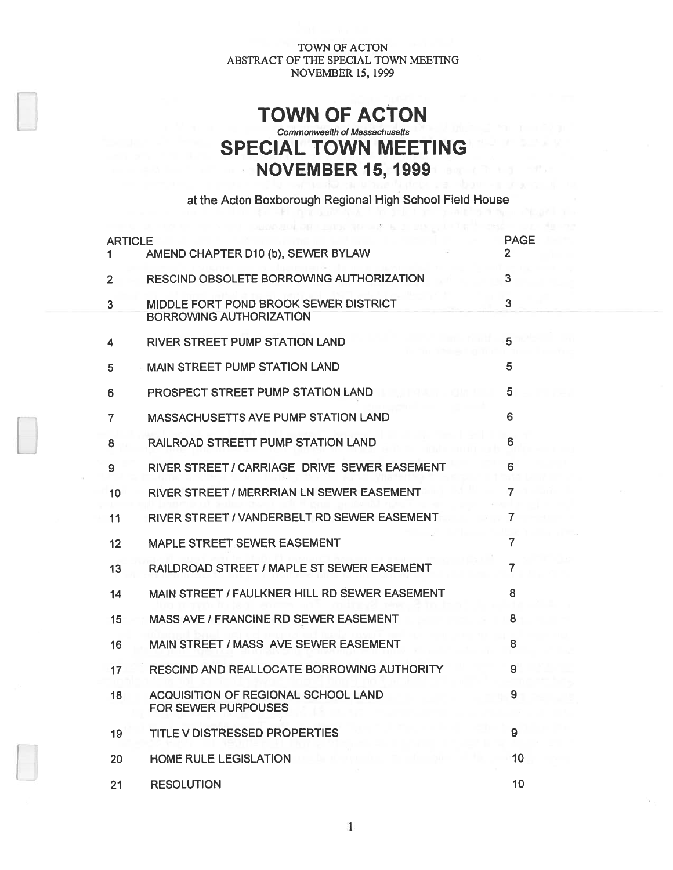# TOWN OF ACTON Commonwealth of Massachusetts SPECIAL TOWN MEETING NOVEMBER 15, 1999

at the Acton Boxborough Regional High School Field House

THE FIGHT SECTION IS

| <b>ARTICLE</b> | AMEND CHAPTER D10 (b), SEWER BYLAW                                      | <b>PAGE</b><br>$\mathbf{2}$ |
|----------------|-------------------------------------------------------------------------|-----------------------------|
| $\overline{2}$ | <b>RESCIND OBSOLETE BORROWING AUTHORIZATION</b>                         | 3                           |
| 3              | MIDDLE FORT POND BROOK SEWER DISTRICT<br><b>BORROWING AUTHORIZATION</b> | 3                           |
| 4              | RIVER STREET PUMP STATION LAND                                          | 5                           |
| 5              | <b>MAIN STREET PUMP STATION LAND</b>                                    | 5                           |
| 6              | PROSPECT STREET PUMP STATION LAND                                       | 5                           |
| $\overline{7}$ | <b>MASSACHUSETTS AVE PUMP STATION LAND</b>                              | 6                           |
| 8              | RAILROAD STREETT PUMP STATION LAND                                      | 6                           |
| 9              | RIVER STREET / CARRIAGE DRIVE SEWER EASEMENT                            | 6                           |
| 10             | RIVER STREET / MERRRIAN LN SEWER EASEMENT                               | 7                           |
| 11             | RIVER STREET / VANDERBELT RD SEWER EASEMENT                             | 7                           |
| 12             | MAPLE STREET SEWER EASEMENT                                             | 7                           |
| 13             | RAILDROAD STREET / MAPLE ST SEWER EASEMENT                              | 7                           |
| 14             | MAIN STREET / FAULKNER HILL RD SEWER EASEMENT                           | 8                           |
| 15             | MASS AVE / FRANCINE RD SEWER EASEMENT                                   | 8                           |
| 16             | MAIN STREET / MASS AVE SEWER EASEMENT                                   | 8                           |
| 17             | RESCIND AND REALLOCATE BORROWING AUTHORITY                              | 9                           |
| 18             | ACQUISITION OF REGIONAL SCHOOL LAND<br>FOR SEWER PURPOUSES              | 9                           |
| 19             | <b>TITLE V DISTRESSED PROPERTIES</b>                                    | 9                           |
| 20             | <b>HOME RULE LEGISLATION</b>                                            | 10                          |
| 21             | <b>RESOLUTION</b>                                                       | 10                          |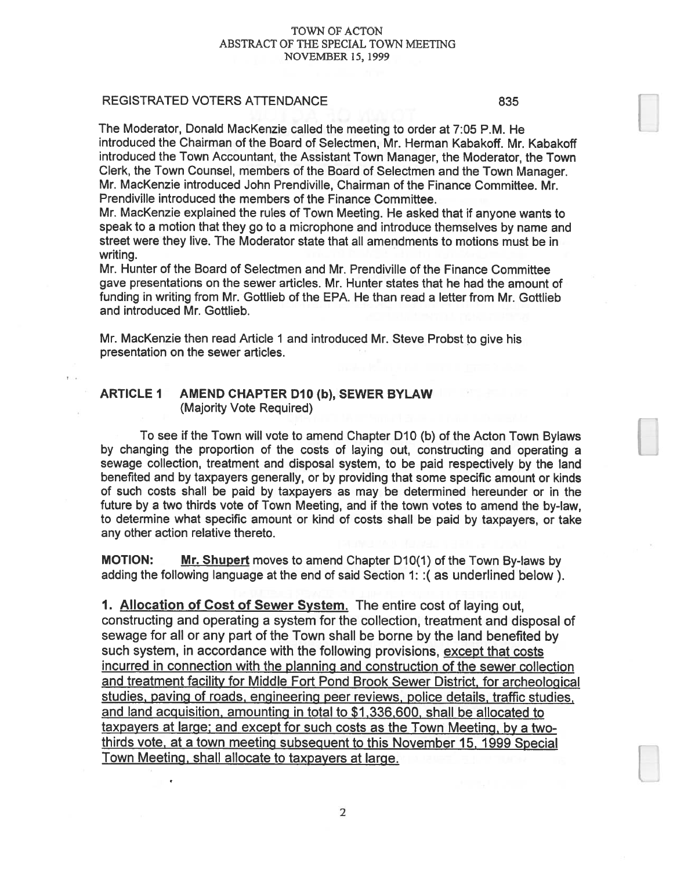#### REGISTRATED VOTERS ATTENDANCE **1998** 835

The Moderator, Donald Mackenzie called the meeting to order at 7:05 P.M. He introduced the Chairman of the Board of Selectmen, Mr. Herman Kabakoff. Mr. Kabakoff introduced the Town Accountant, the Assistant Town Manager, the Moderator, the Town Clerk, the Town Counsel, members of the Board of Selectmen and the Town Manager. Mr. Mackenzie introduced John Prendiville, Chairman of the Finance Committee. Mr. Prendiville introduced the members of the Finance Committee.

Mr. Mackenzie explained the rules of Town Meeting. He asked that if anyone wants to spea<sup>k</sup> to <sup>a</sup> motion that they go to <sup>a</sup> microphone and introduce themselves by name and street were they live. The Moderator state that all amendments to motions must be in writing.

Mr. Hunter of the Board of Selectmen and Mr. Prendiville of the Finance Committee gave presentations on the sewer articles. Mr. Hunter states that he had the amount of funding in writing from Mr. Gottlieb of the EPA. He than read a letter from Mr. Gottlieb and introduced Mr. Gottlieb.

Mr. Mackenzie then read Article 1 and introduced Mr. Steve Probst to give his presentation on the sewer articles.

# ARTICLE 1 AMEND CHAPTER D10 (b), SEWER BYLAW (Majority Vote Required)

To see if the Town will vote to amend Chapter D10 (b) of the Acton Town Bylaws by changing the proportion of the costs of laying out, constructing and operating <sup>a</sup> sewage collection, treatment and disposal system, to be paid respectively by the land benefited and by taxpayers generally, or by providing that some specific amount or kinds of such costs shall be paid by taxpayers as may be determined hereunder or in the future by <sup>a</sup> two thirds vote of Town Meeting, and if the town votes to amend the by-law, to determine what specific amount or kind of costs shall be paid by taxpayers, or take any other action relative thereto.

MOTION: Mr. Shupert moves to amend Chapter D10(1) of the Town By-laws by adding the following language at the end of said Section 1: :( as underlined below).

1. Allocation of Cost of Sewer System. The entire cost of laying out, constructing and operating <sup>a</sup> system for the collection, treatment and disposal of sewage for all or any par<sup>t</sup> of the Town shall be borne by the land benefited by such system, in accordance with the following provisions, except that costs incurred in connection with the <sup>p</sup>lanning and construction of the sewer collection and treatment facility for Middle Fort Pond Brook Sewer District, for archeological studies, paving of roads, engineering peer reviews, police details, traffic studies, and land acguisition, amounting in total to \$1,336,600, shall be allocated to taxpayers at large; and excep<sup>t</sup> for such costs as the Town Meeting, by <sup>a</sup> two thirds vote, at <sup>a</sup> town meeting subsequent to this November 15, <sup>1999</sup> Special Town Meeting, shall allocate to taxpayers at large.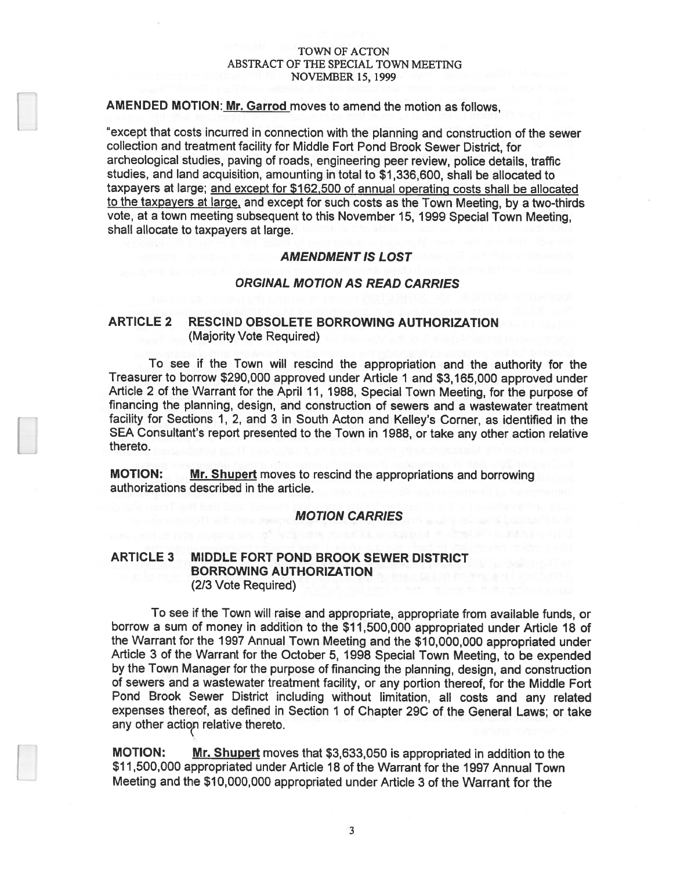# AMENDED MOTION: Mr. Garrod moves to amend the motion as follows,

"except that costs incurred in connection with the <sup>p</sup>lanning and construction of the sewer collection and treatment facility for Middle Fort Pond Brook Sewer District, for archeological studies, paving of roads, engineering peer review, police details, traffic studies, and land acquisition, amounting in total to \$1,336,600, shall be allocated to taxpayers at large; and excep<sup>t</sup> for \$162,500 of annual operating costs shall be allocated to the taxpayers at large, and excep<sup>t</sup> for such costs as the Town Meeting, by <sup>a</sup> two-thirds vote, at <sup>a</sup> town meeting subsequent to this November 15, 1999 Special Town Meeting, shall allocate to taxpayers at large.

#### AMENDMENT IS LOST

### ORGINAL MOTION AS READ CARRIES

# ARTICLE 2 RESCIND OBSOLETE BORROWING AUTHORIZATION (Majority Vote Required)

To see if the Town will rescind the appropriation and the authority for the Treasurer to borrow \$290,000 approved under Article <sup>I</sup> and \$3,165,000 approved under Article <sup>2</sup> of the Warrant for the April 11, 1988, Special Town Meeting, for the purpose of financing the planning, design, and construction of sewers and <sup>a</sup> wastewater treatment facility for Sections 1, 2, and <sup>3</sup> in South Acton and Kelley's Corner, as identified in the SEA Consultant's repor<sup>t</sup> presented to the Town in 1988, or take any other action relative thereto.

MOTION: Mr. Shupert moves to rescind the appropriations and borrowing authorizations described in the article.

## MOTION CARRIES

# ARTICLE 3 MIDDLE FORT POND BROOK SEWER DISTRICT BORROWING AUTHORIZATION (2/3 Vote Required)

To see if the Town will raise and appropriate, appropriate from available funds, or borrow <sup>a</sup> sum of money in addition to the \$11,500,000 appropriated under Article 18 of the Warrant for the 1997 Annual Town Meeting and the \$10,000,000 appropriated under Article <sup>3</sup> of the Warrant for the October 5, <sup>1998</sup> Special Town Meeting, to be expended by the Town Manager for the purpose of financing the <sup>p</sup>lanning, design, and construction of sewers and <sup>a</sup> wastewater treatment facility, or any portion thereof, for the Middle Fort Pond Brook Sewer District including without limitation, all costs and any related expenses thereof, as defined in Section <sup>1</sup> of Chapter 29C of the General Laws; or take any other action relative thereto.

**MOTION:** Mr. Shupert moves that \$3,633,050 is appropriated in addition to the \$11,500,000 appropriated under Article 18 of the Warrant for the 1997 Annual Town Meeting and the \$10,000,000 appropriated under Article 3 of the Warrant for the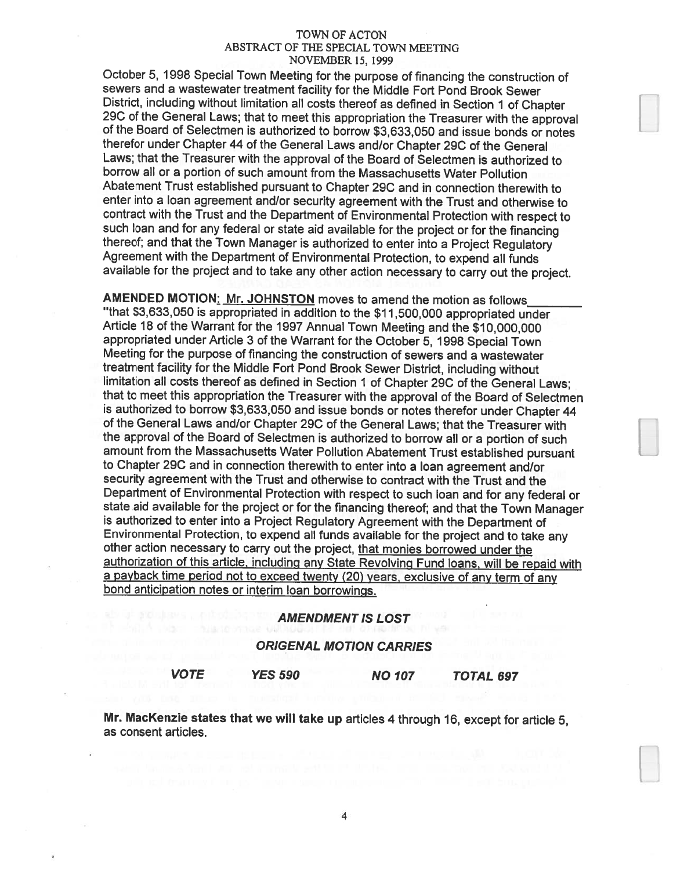October 5, <sup>1998</sup> Special Town Meeting for the purpose of financing the construction of sewers and a wastewater treatment facility for the Middle Fort Pond Brook Sewer<br>District, including without limitation all costs thereof as defined in Section 1 of Chapter 29C of the General Laws; that to meet this appropriation the Treasurer with the approval<br>of the Board of Selectmen is authorized to borrow \$3,633,050 and issue bonds or notes therefor under Chapter <sup>44</sup> of the General Laws and/or Chapter 29C of the General Laws; that the Treasurer with the approval of the Board of Selectmen is authorized to borrow all or <sup>a</sup> portion of such amount from the Massachusetts Water Pollution Abatement Trust established pursuant to Chapter 29C and in connection therewith to enter into <sup>a</sup> loan agreement and/or security agreement with the Trust and otherwise to contract with the Trust and the Department of Environmental Protection with respect to such loan and for any federal or state aid available for the project or for the financing thereof; and that the Town Manager is authorized to enter into a Project Regulatory<br>Agreement with the Department of Environmental Protection, to expend all funds available for the project and to take any other action necessary to carry out the project.

AMENDED MOTION: Mr. JOHNSTON moves to amend the motion as follows "that \$3,633,050 is appropriated in addition to the \$11,500,000 appropriated under Article <sup>18</sup> of the Warrant for the <sup>1997</sup> Annual Town Meeting and the \$10,000,000 appropriated under Article <sup>3</sup> of the Warrant for the October 5, <sup>1998</sup> Special Town Meeting for the purpose of financing the construction of sewers and a wastewater<br>treatment facility for the Middle Fort Pond Brook Sewer District, including without limitation all costs thereof as defined in Section 1 of Chapter 29C of the General Laws; that to meet this appropriation the Treasurer with the approval of the Board of Selectmen<br>is authorized to borrow \$3,633,050 and issue bonds or notes therefor under Chapter 44 of the General Laws and/or Chapter 29C of the General Laws; that the Treasurer with the approval of the Board of Selectmen is authorized to borrow all or <sup>a</sup> portion of such amount from the Massachusetts Water Pollution Abatement Trust established pursuant to Chapter 29C and in connection therewith to enter into a loan agreement and/or security agreement with the Trust and otherwise to contract with the Trust and the Department of Environmental Protection with respect to such loan and for any federal or state aid available for the project or for the financing thereof; and that the Town Manager is authorized to enter into a Project Regulatory Agreement with the Department of Environmental Protection, to expend all funds available for the project and to take any other action necessary to carry out the project, that monies borrowed under the authorization of this article, including any State Revolving Fund loans, will be repaid with <sup>a</sup> payback time period not to exceed twenty (20) years, exclusive of any term of any bond anticipation notes or interim loan borrowings.

# AMENDMENT IS LOST

#### ORIGENAL MOTION CARRIES

VOTE YES 590 NO 107 TOTAL 697

Mr. Mackenzie states that we will take up articles <sup>4</sup> through 16, except for article 5, as consent articles.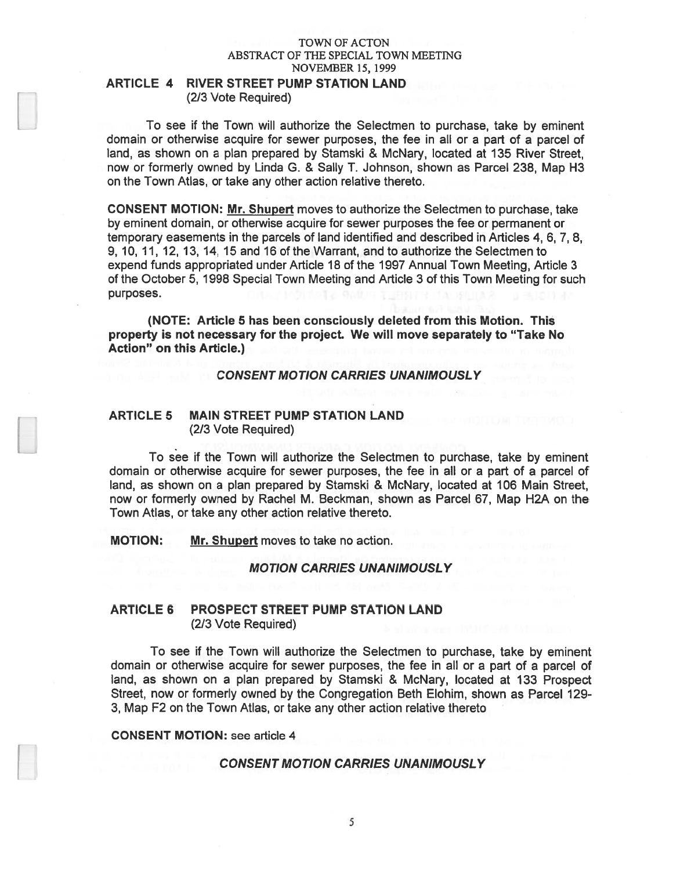# ARTICLE 4 RIVER STREET PUMP STATION LAND (2/3 Vote Required)

To see if the Town will authorize the Selectmen to purchase, take by eminent domain or otherwise acquire for sewer purposes, the fee in all or <sup>a</sup> par<sup>t</sup> of <sup>a</sup> parcel of land, as shown on <sup>a</sup> plan prepared by Stamski & McNary, located at 135 River Street, now or formerly owned by Linda G. & Sally T. Johnson, shown as Parcel 238, Map H3 on the Town Atlas, or take any other action relative thereto.

CONSENT MOTION: Mr. Shupert moves to authorize the Selectmen to purchase, take by eminent domain, or otherwise acquire for sewer purposes the fee or permanen<sup>t</sup> or temporary easements in the parcels of land identified and described in Articles 4, 6, 7, 8, 9, 10, 11, 12, 13, 14, 15 and 16 of the Warrant, and to authorize the Selectmen to expend funds appropriated under Article 18 of the 1997 Annual Town Meeting, Article 3 of the October 5, 1998 Special Town Meeting and Article 3 of this Town Meeting for such purposes.

(NOTE: Article 5 has been consciously deleted from this Motion. This property is not necessary for the project. We will move separately to "Take No Action" on this Article.)

CONSENT MOTION CARRIES UNANIMOUSLY

# ARTICLE 5 MAIN STREET PUMP STATION LAND (2/3 Vote Required)

To see if the Town will authorize the Selectmen to purchase, take by eminent domain or otherwise acquire for sewer purposes, the fee in all or <sup>a</sup> par<sup>t</sup> of <sup>a</sup> parcel of land, as shown on <sup>a</sup> plan prepared by Stamski & McNary, located at 106 Main Street, now or formerly owned by Rachel M. Beckman, shown as Parcel 67, Map H2A on the Town Atlas, or take any other action relative thereto.

MOTION: Mr. Shupert moves to take no action.

# MOTION CARRIES UNANIMOUSLY

# ARTICLE 6 PROSPECT STREET PUMP STATION LAND (2/3 Vote Required)

To see if the Town will authorize the Selectmen to purchase, take by eminent domain or otherwise acquire for sewer purposes, the fee in all or <sup>a</sup> par<sup>t</sup> of <sup>a</sup> parcel of land, as shown on <sup>a</sup> <sup>p</sup>lan prepared by Stamski & McNary, located at 133 Prospect Street, now or formerly owned by the Congregation Beth Elohim, shown as Parcel 129- 3, Map F2 on the Town Atlas, or take any other action relative thereto

CONSENT MOTION: see article 4

#### CONSENT MOTION CARRIES UNANIMOUSLY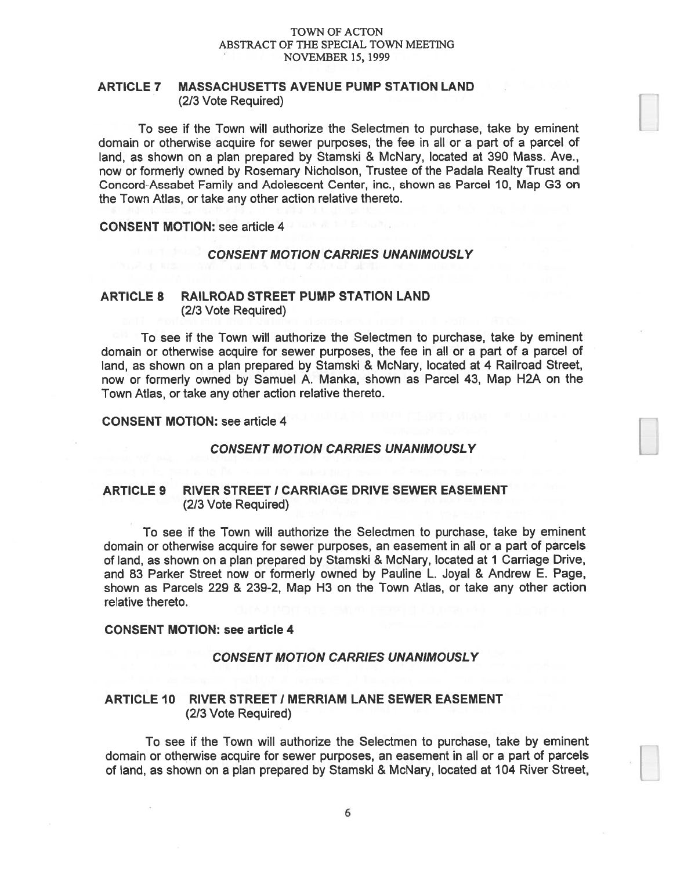# ARTICLE 7 MASSACHUSETTS AVENUE PUMP STATION LAND (2/3 Vote Required)

To see if the Town will authorize the Selectmen to purchase, take by eminent domain or otherwise acquire for sewer purposes, the fee in all or <sup>a</sup> par<sup>t</sup> of <sup>a</sup> parcel of land, as shown on <sup>a</sup> plan prepared by Stamski & McNary, located at 390 Mass. Ave., now or formerly owned by Rosemary Nicholson, Trustee of the Padala Realty Trust and Concord-Assabet Family and Adolescent Center, inc., shown as Parcel 10, Map G3 on the Town Atlas, or take any other action relative thereto.

CONSENT MOTION: see article 4

### CONSENT MOTION CARRIES UNANIMOUSLY

# ARTICLE 8 RAILROAD STREET PUMP STATION LAND (2/3 Vote Required)

To see if the Town will authorize the Selectmen to purchase, take by eminent domain or otherwise acquire for sewer purposes, the fee in all or <sup>a</sup> par<sup>t</sup> of <sup>a</sup> parcel of land, as shown on <sup>a</sup> plan prepared by Stamski & McNary, located at 4 Railroad Street, now or formerly owned by Samuel A. Manka, shown as Parcel 43, Map H2A on the Town Atlas, or take any other action relative thereto.

CONSENT MOTION: see article 4

# CONSENT MOTION CARRIES UNANIMOUSLY

# ARTICLE 9 RIVER STREET / CARRIAGE DRIVE SEWER EASEMENT (2/3 Vote Required)

To see if the Town will authorize the Selectmen to purchase, take by eminent domain or otherwise acquire for sewer purposes, an easement in all or <sup>a</sup> par<sup>t</sup> of parcels of land, as shown on <sup>a</sup> <sup>p</sup>lan prepared by Stamski & McNary, located at <sup>1</sup> Carriage Drive, and 83 Parker Street now or formerly owned by Pauline L. Joyal & Andrew E. Page, shown as Parcels 229 & 239-2, Map H3 on the Town Atlas, or take any other action relative thereto.

#### CONSENT MOTION: see article 4

CONSENT MOTION CARRIES UNANIMOUSLY

# ARTICLE 10 RIVER STREET / MERRIAM LANE SEWER EASEMENT (2/3 Vote Required)

To see if the Town will authorize the Selectmen to purchase, take by eminent domain or otherwise acquire for sewer purposes, an easement in all or <sup>a</sup> par<sup>t</sup> of parcels of land, as shown on <sup>a</sup> plan prepared by Stamski & McNary, located at 104 River Street,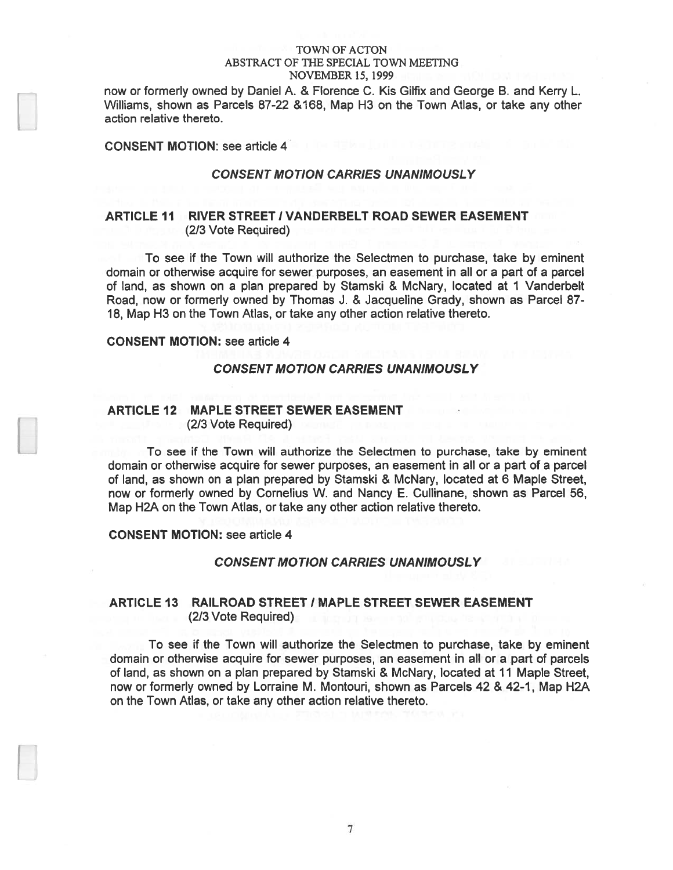now or formerly owned by Daniel A. & Florence C. Kis Gilfix and George B. and Kerry L. Williams, shown as Parcels 87-22 &168, Map H3 on the Town Atlas, or take any other action relative thereto.

CONSENT MOTION: see article 4

# CONSENT MOTION CARRIES UNANIMOUSLY

# ARTICLE 11 RIVER STREET / VANDERBELT ROAD SEWER EASEMENT (2/3 Vote Required)

To see if the Town will authorize the Selectmen to purchase, take by eminent domain or otherwise acquire for sewer purposes, an easement in all or <sup>a</sup> par<sup>t</sup> of <sup>a</sup> parcel of land, as shown on <sup>a</sup> plan prepared by Stamski & McNary, located at I Vanderbelt Road, now or formerly owned by Thomas J. & Jacqueline Grady, shown as Parcel 87- 18, Map H3 on the Town Atlas, or take any other action relative thereto.

# CONSENT MOTION: see article 4

#### CONSENT MOTION CARRIES UNANIMOUSLY

### ARTICLE 12 MAPLE STREET SEWER EASEMENT (2/3 Vote Required)

To see if the Town will authorize the Selectmen to purchase, take by eminent domain or otherwise acquire for sewer purposes, an easement in all or <sup>a</sup> par<sup>t</sup> of <sup>a</sup> parcel of land, as shown on <sup>a</sup> plan prepared by Stamski & McNary, located at 6 Maple Street, now or formerly owned by Cornelius W. and Nancy E. Cullinane, shown as Parcel 56, Map H2A on the Town Atlas, or take any other action relative thereto.

CONSENT MOTION: see article 4

#### CONSENT MOTION CARRIES UNANIMOUSLY

# ARTICLE 13 RAILROAD STREET / MAPLE STREET SEWER EASEMENT (2/3 Vote Required)

To see if the Town will authorize the Selectmen to purchase, take by eminent domain or otherwise acquire for sewer purposes, an easement in all or <sup>a</sup> par<sup>t</sup> of parcels of land, as shown on <sup>a</sup> plan prepared by Stamski & McNary, located at 11 Maple Street, now or formerly owned by Lorraine M. Montouri, shown as Parcels 42 & 42-1, Map H2A on the Town Atlas, or take any other action relative thereto.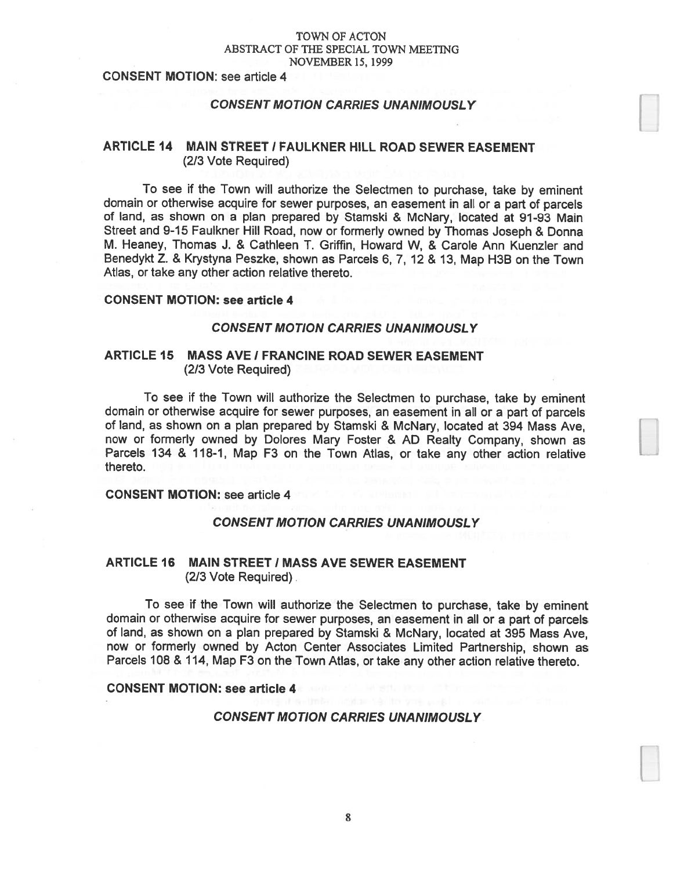# CONSENT MOTION: see article 4

#### CONSENT MOTION CARRIES UNANIMOUSLY

# ARTICLE 14 MAIN STREET I FAULKNER HILL ROAD SEWER EASEMENT (2/3 Vote Required)

To see if the Town will authorize the Selectmen to purchase, take by eminent domain or otherwise acquire for sewer purposes, an easement in all or <sup>a</sup> par<sup>t</sup> of parcels of land, as shown on <sup>a</sup> <sup>p</sup>lan prepared by Stamski & McNary, located at 91-93 Main Street and 9-15 Faulkner Hill Road, now or formerly owned by Thomas Joseph & Donna M. Heaney, Thomas J. & Cathleen T. Griffin, Howard W, & Carole Ann Kuenzler and Benedykt Z. & Krystyna Peszke, shown as Parcels 6, 7, <sup>12</sup> & 13, Map H3B on the Town Atlas, or take any other action relative thereto.

# CONSENT MOTION: see article 4

#### CONSENT MOTION CARRIES UNANIMOUSLY

# ARTICLE 15 MASS AVE I FRANCINE ROAD SEWER EASEMENT (2/3 Vote Required)

To see if the Town will authorize the Selectmen to purchase, take by eminent domain or otherwise acquire for sewer purposes, an easement in all or <sup>a</sup> par<sup>t</sup> of parcels of land, as shown on <sup>a</sup> <sup>p</sup>lan prepare<sup>d</sup> by Stamski & McNary, located at <sup>394</sup> Mass Aye, now or formerly owned by Dolores Mary Foster & AD Realty Company, shown as Parcels 134 & 118-1, Map F3 on the Town Atlas, or take any other action relative thereto.

#### CONSENT MOTION: see article 4

#### CONSENT MOTION CARRIES UNANIMOUSLY

# ARTICLE 16 MAIN STREET I MASS AVE SEWER EASEMENT (2/3 Vote Required).

To see if the Town will authorize the Selectmen to purchase, take by eminent domain or otherwise acquire for sewer purposes, an easement in all or <sup>a</sup> par<sup>t</sup> of parcels of land, as shown on <sup>a</sup> <sup>p</sup>lan prepare<sup>d</sup> by Stamski & McNary, located at <sup>395</sup> Mass Aye, now or formerly owned by Acton Center Associates Limited Partnership, shown as Parcels <sup>108</sup> & 114, Map F3 on the Town Atlas, or take any other action relative thereto.

# CONSENT MOTION: see article 4

#### CONSENT MOTION CARRIES UNANIMOUSLY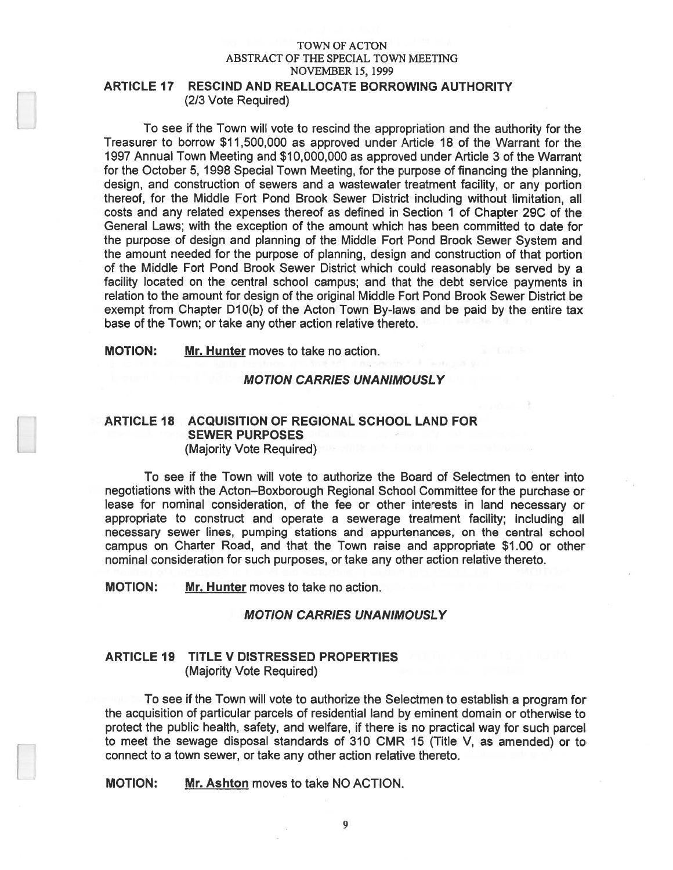# ARTICLE 17 RESCIND AND REALLOCATE BORROWING AUTHORITY (2/3 Vote Required)

To see if the Town will vote to rescind the appropriation and the authority for the Treasurer to borrow \$11,500,000 as approved under Article 18 of the Warrant for the 1997 Annual Town Meeting and \$10,000,000 as approved under Article 3 of the Warrant for the October 5, 1998 Special Town Meeting, for the purpose of financing the planning, design, and construction of sewers and <sup>a</sup> wastewater treatment facility, or any portion thereof, for the Middle Fort Pond Brook Sewer District including without limitation, all costs and any related expenses thereof as defined in Section 1 of Chapter 29C of the General Laws; with the exception of the amount which has been committed to date for the purpose of design and planning of the Middle Fort Pond Brook Sewer System and the amount needed for the purpose of planning, design and construction of that portion of the Middle Fort Pond Brook Sewer District which could reasonably be served by <sup>a</sup> facility located on the central school campus; and that the debt service payments in relation to the amount for design of the original Middle Fort Pond Brook Sewer District be exemp<sup>t</sup> from Chapter D10(b) of the Acton Town By-laws and be paid by the entire tax base of the Town; or take any other action relative thereto.

MOTION: Mr. Hunter moves to take no action.

#### MOTION CARRIES UNANIMOUSLY

# ARTICLE 18 ACQUISITION OF REGIONAL SCHOOL LAND FOR SEWER PURPOSES (Majority Vote Required)

To see if the Town will vote to authorize the Board of Selectmen to enter into negotiations with the Acton—Boxborough Regional School Committee for the purchase or lease for nominal consideration, of the fee or other interests in land necessary or appropriate to construct and operate <sup>a</sup> sewerage treatment facility; including all necessary sewer lines, pumping stations and appurtenances, on the central school campus on Charter Road, and that the Town raise and appropriate \$1.00 or other nominal consideration for such purposes, or take any other action relative thereto.

MOTION: Mr. Hunter moves to take no action.

# MOTION CARRIES UNANIMOUSLY

# ARTICLE 19 TITLE V DISTRESSED PROPERTIES (Majority Vote Required)

To see if the Town will vote to authorize the Selectmen to establish <sup>a</sup> program for the acquisition of particular parcels of residential land by eminent domain or otherwise to protect the public health, safety, and welfare, if there is no practical way for such parcel to meet the sewage disposal standards of 310 CMR 15 (Title V, as amended) or to connect to <sup>a</sup> town sewer, or take any other action relative thereto.

**MOTION:** Mr. Ashton moves to take NO ACTION.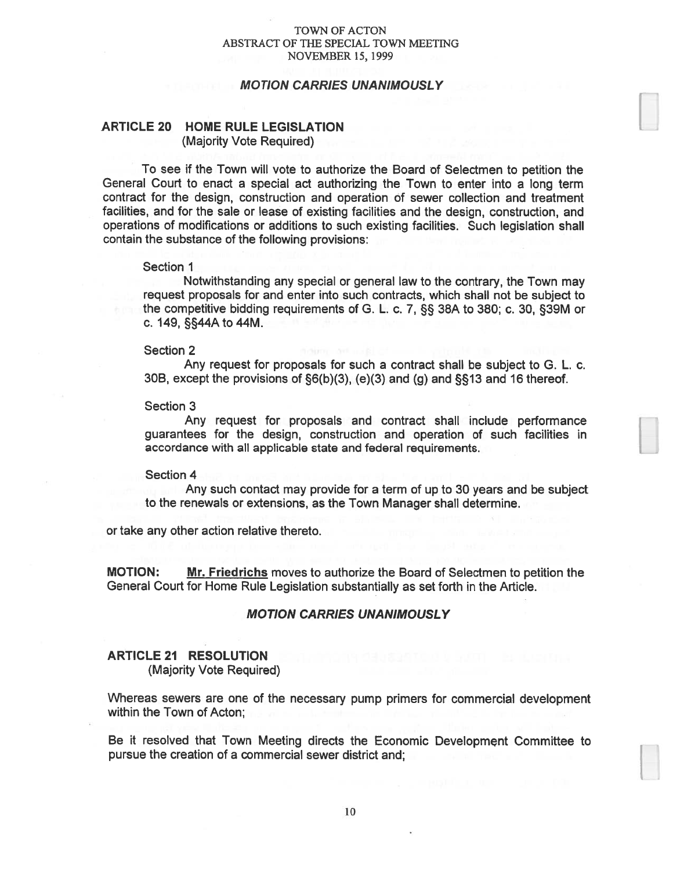### MOTION CARRIES UNANIMOUSLY

# ARTICLE 20 HOME RULE LEGISLATION (Majority Vote Required)

To see if the Town will vote to authorize the Board of Selectmen to petition the General Court to enact <sup>a</sup> special act authorizing the Town to enter into <sup>a</sup> long term contract for the design, construction and operation of sewer collection and treatment facilities, and for the sale or lease of existing facilities and the design, construction, and operations of modifications or additions to such existing facilities. Such legislation shall contain the substance of the following provisions:

#### Section 1

Notwithstanding any special or general law to the contrary, the Town may reques<sup>t</sup> proposals for and enter into such contracts, which shall not be subject to the competitive bidding requirements of G. L. c. 7, §S 38A to 380; c. 30, §39M or c. 149, §§44A to 44M.

#### Section 2

Any reques<sup>t</sup> for proposals for such <sup>a</sup> contract shall be subject to G. L. c. 30B, excep<sup>t</sup> the provisions of §6(b)(3), (e)(3) and (g) and §13 and 16 thereof.

#### Section 3

Any reques<sup>t</sup> for proposals and contract shall include performance guarantees for the design, construction and operation of such facilities in accordance with all applicable state and federal requirements.

#### Section 4

Any such contact may provide for <sup>a</sup> term of up to 30 years and be subject to the renewals or extensions, as the Town Manager shall determine.

or take any other action relative thereto.

**MOTION:** Mr. Friedrichs moves to authorize the Board of Selectmen to petition the General Court for Home Rule Legislation substantially as set forth in the Article.

#### MOTION CARRIES UNANIMOUSLY

#### ARTICLE 21 RESOLUTION

(Majority Vote Required)

Whereas sewers are one of the necessary pump primers for commercial development within the Town of Acton;

Be it resolved that Town Meeting directs the Economic Development Committee to pursue the creation of <sup>a</sup> commercial sewer district and;